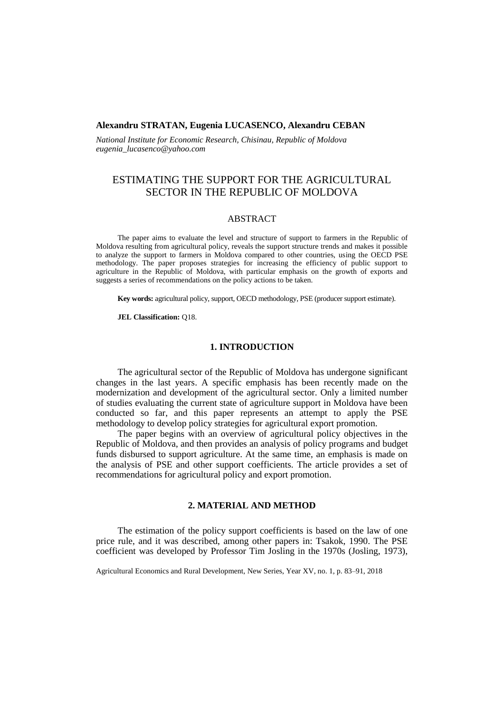### **Alexandru STRATAN, Eugenia LUCASENCO, Alexandru CEBAN**

*National Institute for Economic Research, Chisinau, Republic of Moldova eugenia\_lucasenco@yahoo.com*

# ESTIMATING THE SUPPORT FOR THE AGRICULTURAL SECTOR IN THE REPUBLIC OF MOLDOVA

### ABSTRACT

The paper aims to evaluate the level and structure of support to farmers in the Republic of Moldova resulting from agricultural policy, reveals the support structure trends and makes it possible to analyze the support to farmers in Moldova compared to other countries, using the OECD PSE methodology. The paper proposes strategies for increasing the efficiency of public support to agriculture in the Republic of Moldova, with particular emphasis on the growth of exports and suggests a series of recommendations on the policy actions to be taken.

**Key words:** agricultural policy, support, OECD methodology, PSE (producer support estimate).

**JEL Classification:** Q18.

### **1. INTRODUCTION**

The agricultural sector of the Republic of Moldova has undergone significant changes in the last years. A specific emphasis has been recently made on the modernization and development of the agricultural sector. Only a limited number of studies evaluating the current state of agriculture support in Moldova have been conducted so far, and this paper represents an attempt to apply the PSE methodology to develop policy strategies for agricultural export promotion.

The paper begins with an overview of agricultural policy objectives in the Republic of Moldova, and then provides an analysis of policy programs and budget funds disbursed to support agriculture. At the same time, an emphasis is made on the analysis of PSE and other support coefficients. The article provides a set of recommendations for agricultural policy and export promotion.

### **2. MATERIAL AND METHOD**

The estimation of the policy support coefficients is based on the law of one price rule, and it was described, among other papers in: Tsakok, 1990. The PSE coefficient was developed by Professor Tim Josling in the 1970s (Josling, 1973),

Agricultural Economics and Rural Development, New Series, Year XV, no. 1, p. 83–91, 2018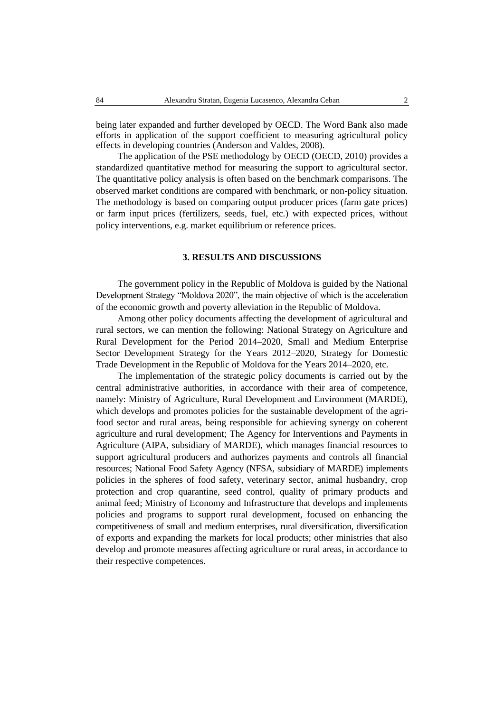being later expanded and further developed by OECD. The Word Bank also made efforts in application of the support coefficient to measuring agricultural policy effects in developing countries (Anderson and Valdes, 2008).

The application of the PSE methodology by OECD (OECD, 2010) provides a standardized quantitative method for measuring the support to agricultural sector. The quantitative policy analysis is often based on the benchmark comparisons. The observed market conditions are compared with benchmark, or non-policy situation. The methodology is based on comparing output producer prices (farm gate prices) or farm input prices (fertilizers, seeds, fuel, etc.) with expected prices, without policy interventions, e.g. market equilibrium or reference prices.

### **3. RESULTS AND DISCUSSIONS**

The government policy in the Republic of Moldova is guided by the National Development Strategy "Moldova 2020", the main objective of which is the acceleration of the economic growth and poverty alleviation in the Republic of Moldova.

Among other policy documents affecting the development of agricultural and rural sectors, we can mention the following: National Strategy on Agriculture and Rural Development for the Period 2014–2020, Small and Medium Enterprise Sector Development Strategy for the Years 2012–2020, Strategy for Domestic Trade Development in the Republic of Moldova for the Years 2014–2020, etc.

The implementation of the strategic policy documents is carried out by the central administrative authorities, in accordance with their area of competence, namely: Ministry of Agriculture, Rural Development and Environment (MARDE), which develops and promotes policies for the sustainable development of the agrifood sector and rural areas, being responsible for achieving synergy on coherent agriculture and rural development; The Agency for Interventions and Payments in Agriculture (AIPA, subsidiary of MARDE), which manages financial resources to support agricultural producers and authorizes payments and controls all financial resources; National Food Safety Agency (NFSA, subsidiary of MARDE) implements policies in the spheres of food safety, veterinary sector, animal husbandry, crop protection and crop quarantine, seed control, quality of primary products and animal feed; Ministry of Economy and Infrastructure that develops and implements policies and programs to support rural development, focused on enhancing the competitiveness of small and medium enterprises, rural diversification, diversification of exports and expanding the markets for local products; other ministries that also develop and promote measures affecting agriculture or rural areas, in accordance to their respective competences.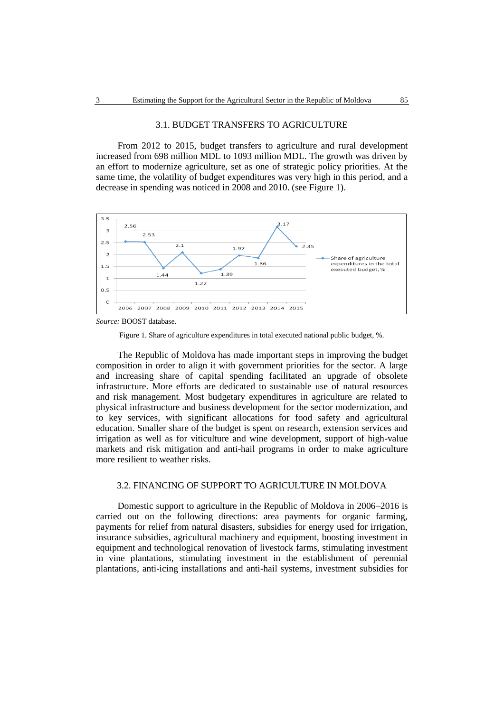### 3.1. BUDGET TRANSFERS TO AGRICULTURE

From 2012 to 2015, budget transfers to agriculture and rural development increased from 698 million MDL to 1093 million MDL. The growth was driven by an effort to modernize agriculture, set as one of strategic policy priorities. At the same time, the volatility of budget expenditures was very high in this period, and a decrease in spending was noticed in 2008 and 2010. (see Figure 1).



*Source:* BOOST database.

Figure 1. Share of agriculture expenditures in total executed national public budget, %.

The Republic of Moldova has made important steps in improving the budget composition in order to align it with government priorities for the sector. A large and increasing share of capital spending facilitated an upgrade of obsolete infrastructure. More efforts are dedicated to sustainable use of natural resources and risk management. Most budgetary expenditures in agriculture are related to physical infrastructure and business development for the sector modernization, and to key services, with significant allocations for food safety and agricultural education. Smaller share of the budget is spent on research, extension services and irrigation as well as for viticulture and wine development, support of high-value markets and risk mitigation and anti-hail programs in order to make agriculture more resilient to weather risks.

## 3.2. FINANCING OF SUPPORT TO AGRICULTURE IN MOLDOVA

Domestic support to agriculture in the Republic of Moldova in 2006–2016 is carried out on the following directions: area payments for organic farming, payments for relief from natural disasters, subsidies for energy used for irrigation, insurance subsidies, agricultural machinery and equipment, boosting investment in equipment and technological renovation of livestock farms, stimulating investment in vine plantations, stimulating investment in the establishment of perennial plantations, anti-icing installations and anti-hail systems, investment subsidies for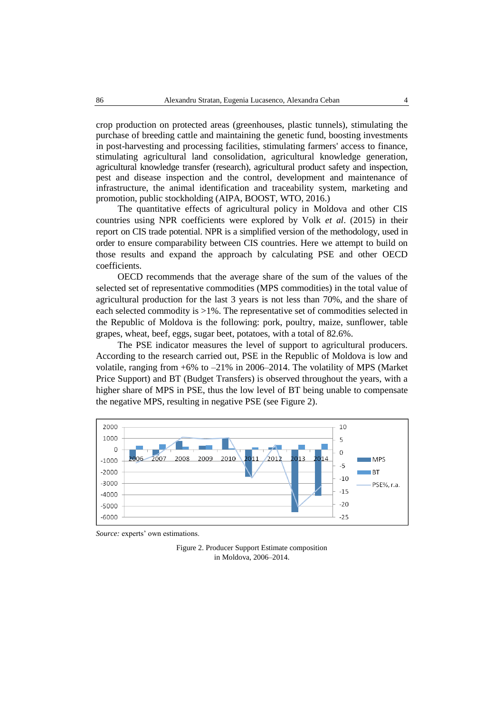crop production on protected areas (greenhouses, plastic tunnels), stimulating the purchase of breeding cattle and maintaining the genetic fund, boosting investments in post-harvesting and processing facilities, stimulating farmers' access to finance, stimulating agricultural land consolidation, agricultural knowledge generation, agricultural knowledge transfer (research), agricultural product safety and inspection, pest and disease inspection and the control, development and maintenance of infrastructure, the animal identification and traceability system, marketing and promotion, public stockholding (AIPA, BOOST, WTO, 2016.)

The quantitative effects of agricultural policy in Moldova and other CIS countries using NPR coefficients were explored by Volk *et al*. (2015) in their report on CIS trade potential. NPR is a simplified version of the methodology, used in order to ensure comparability between CIS countries. Here we attempt to build on those results and expand the approach by calculating PSE and other OECD coefficients.

OECD recommends that the average share of the sum of the values of the selected set of representative commodities (MPS commodities) in the total value of agricultural production for the last 3 years is not less than 70%, and the share of each selected commodity is >1%. The representative set of commodities selected in the Republic of Moldova is the following: pork, poultry, maize, sunflower, table grapes, wheat, beef, eggs, sugar beet, potatoes, with a total of 82.6%.

The PSE indicator measures the level of support to agricultural producers. According to the research carried out, PSE in the Republic of Moldova is low and volatile, ranging from  $+6\%$  to  $-21\%$  in 2006–2014. The volatility of MPS (Market Price Support) and BT (Budget Transfers) is observed throughout the years, with a higher share of MPS in PSE, thus the low level of BT being unable to compensate the negative MPS, resulting in negative PSE (see Figure 2).



*Source:* experts' own estimations.

Figure 2. Producer Support Estimate composition in Moldova, 2006–2014.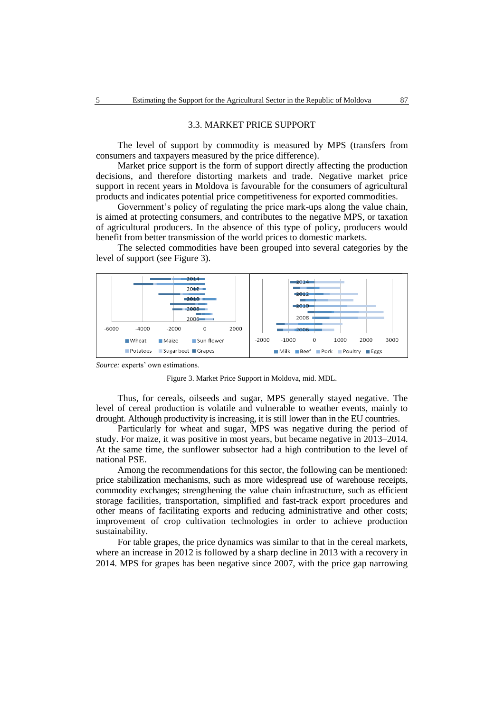#### 3.3. MARKET PRICE SUPPORT

The level of support by commodity is measured by MPS (transfers from consumers and taxpayers measured by the price difference).

Market price support is the form of support directly affecting the production decisions, and therefore distorting markets and trade. Negative market price support in recent years in Moldova is favourable for the consumers of agricultural products and indicates potential price competitiveness for exported commodities.

Government's policy of regulating the price mark-ups along the value chain, is aimed at protecting consumers, and contributes to the negative MPS, or taxation of agricultural producers. In the absence of this type of policy, producers would benefit from better transmission of the world prices to domestic markets.

The selected commodities have been grouped into several categories by the level of support (see Figure 3).



*Source:* experts' own estimations.



Thus, for cereals, oilseeds and sugar, MPS generally stayed negative. The level of cereal production is volatile and vulnerable to weather events, mainly to drought. Although productivity is increasing, it is still lower than in the EU countries.

Particularly for wheat and sugar, MPS was negative during the period of study. For maize, it was positive in most years, but became negative in 2013–2014. At the same time, the sunflower subsector had a high contribution to the level of national PSE.

Among the recommendations for this sector, the following can be mentioned: price stabilization mechanisms, such as more widespread use of warehouse receipts, commodity exchanges; strengthening the value chain infrastructure, such as efficient storage facilities, transportation, simplified and fast-track export procedures and other means of facilitating exports and reducing administrative and other costs; improvement of crop cultivation technologies in order to achieve production sustainability.

For table grapes, the price dynamics was similar to that in the cereal markets, where an increase in 2012 is followed by a sharp decline in 2013 with a recovery in 2014. MPS for grapes has been negative since 2007, with the price gap narrowing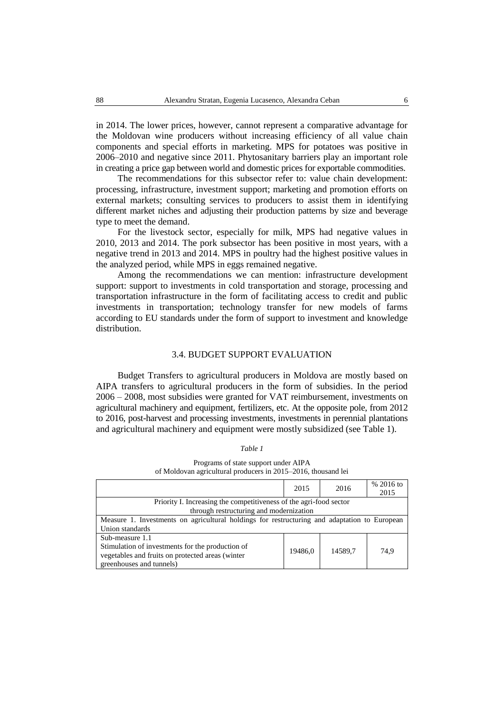in 2014. The lower prices, however, cannot represent a comparative advantage for the Moldovan wine producers without increasing efficiency of all value chain components and special efforts in marketing. MPS for potatoes was positive in 2006–2010 and negative since 2011. Phytosanitary barriers play an important role in creating a price gap between world and domestic prices for exportable commodities.

The recommendations for this subsector refer to: value chain development: processing, infrastructure, investment support; marketing and promotion efforts on external markets; consulting services to producers to assist them in identifying different market niches and adjusting their production patterns by size and beverage type to meet the demand.

For the livestock sector, especially for milk, MPS had negative values in 2010, 2013 and 2014. The pork subsector has been positive in most years, with a negative trend in 2013 and 2014. MPS in poultry had the highest positive values in the analyzed period, while MPS in eggs remained negative.

Among the recommendations we can mention: infrastructure development support: support to investments in cold transportation and storage, processing and transportation infrastructure in the form of facilitating access to credit and public investments in transportation; technology transfer for new models of farms according to EU standards under the form of support to investment and knowledge distribution.

### 3.4. BUDGET SUPPORT EVALUATION

Budget Transfers to agricultural producers in Moldova are mostly based on AIPA transfers to agricultural producers in the form of subsidies. In the period 2006 – 2008, most subsidies were granted for VAT reimbursement, investments on agricultural machinery and equipment, fertilizers, etc. At the opposite pole, from 2012 to 2016, post-harvest and processing investments, investments in perennial plantations and agricultural machinery and equipment were mostly subsidized (see Table 1).

#### *Table 1*

Programs of state support under AIPA of Moldovan agricultural producers in 2015–2016, thousand lei

|                                                                                              | 2015    | 2016    | % 2016 to<br>2015 |  |  |
|----------------------------------------------------------------------------------------------|---------|---------|-------------------|--|--|
| Priority I. Increasing the competitiveness of the agri-food sector                           |         |         |                   |  |  |
| through restructuring and modernization                                                      |         |         |                   |  |  |
| Measure 1. Investments on agricultural holdings for restructuring and adaptation to European |         |         |                   |  |  |
| Union standards                                                                              |         |         |                   |  |  |
| Sub-measure 1.1                                                                              |         |         |                   |  |  |
| Stimulation of investments for the production of                                             | 19486.0 | 14589.7 | 74.9              |  |  |
| vegetables and fruits on protected areas (winter                                             |         |         |                   |  |  |
| greenhouses and tunnels)                                                                     |         |         |                   |  |  |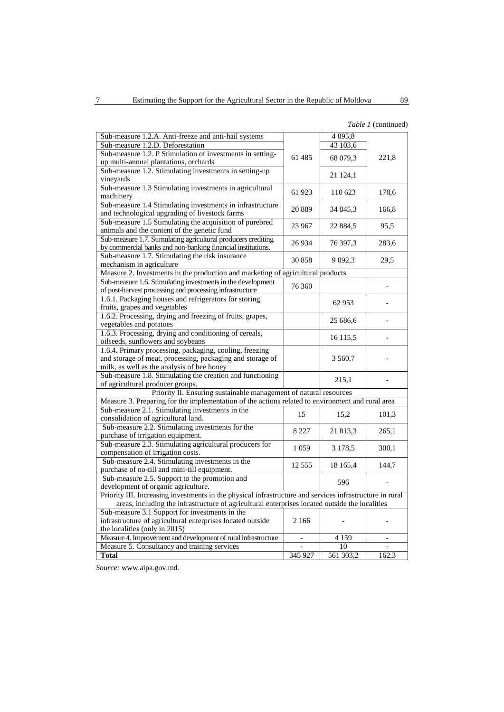### *Table 1* (continued)

| Sub-measure 1.2.A. Anti-freeze and anti-hail systems<br>4 0 9 5 , 8<br>Sub-measure 1.2.D. Deforestation<br>43 103,6<br>Sub-measure 1.2. P Stimulation of investments in setting-<br>68 079,3<br>221,8<br>61485<br>up multi-annual plantations, orchards<br>Sub-measure 1.2. Stimulating investments in setting-up<br>21 124,1<br>vineyards<br>Sub-measure 1.3 Stimulating investments in agricultural<br>61923<br>110 623<br>178,6<br>machinery<br>Sub-measure 1.4 Stimulating investments in infrastructure<br>20 8 89<br>34 845,3<br>166,8<br>and technological upgrading of livestock farms<br>Sub-measure 1.5 Stimulating the acquisition of purebred<br>23 967<br>22 884,5<br>95,5<br>animals and the content of the genetic fund<br>Sub-measure 1.7. Stimulating agricultural producers crediting<br>26934<br>76 397,3<br>283,6<br>by commercial banks and non-banking financial institutions.<br>Sub-measure 1.7. Stimulating the risk insurance<br>29.5<br>30858<br>9 0 9 2, 3<br>mechanism in agriculture<br>Measure 2. Investments in the production and marketing of agricultural products<br>Sub-measure 1.6. Stimulating investments in the development<br>76 360<br>of post-harvest processing and processing infrastructure<br>1.6.1. Packaging houses and refrigerators for storing<br>62 953<br>fruits, grapes and vegetables<br>1.6.2. Processing, drying and freezing of fruits, grapes,<br>25 686,6<br>vegetables and potatoes<br>1.6.3. Processing, drying and conditioning of cereals,<br>16 1 15,5<br>oilseeds, sunflowers and soybeans<br>1.6.4. Primary processing, packaging, cooling, freezing<br>and storage of meat, processing, packaging and storage of<br>3 560,7<br>milk, as well as the analysis of bee honey<br>Sub-measure 1.8. Stimulating the creation and functioning<br>215,1<br>of agricultural producer groups.<br>Priority II. Ensuring sustainable management of natural resources<br>Measure 3. Preparing for the implementation of the actions related to environment and rural area<br>Sub-measure 2.1. Stimulating investments in the<br>15<br>15,2<br>101,3<br>consolidation of agricultural land.<br>Sub-measure 2.2. Stimulating investments for the<br>8 2 2 7<br>21 813,3<br>265,1<br>purchase of irrigation equipment.<br>Sub-measure 2.3. Stimulating agricultural producers for<br>1 0 5 9<br>3 178,5<br>300,1<br>compensation of irrigation costs.<br>Sub-measure 2.4. Stimulating investments in the<br>12 5 5 5<br>18 165,4<br>144,7<br>purchase of no-till and mini-till equipment.<br>Sub-measure 2.5. Support to the promotion and<br>596<br>development of organic agriculture.<br>Priority III. Increasing investments in the physical infrastructure and services infrastructure in rural<br>areas, including the infrastructure of agricultural enterprises located outside the localities<br>Sub-measure 3.1 Support for investments in the<br>infrastructure of agricultural enterprises located outside<br>2 1 6 6<br>the localities (only in 2015)<br>Measure 4. Improvement and development of rural infrastructure<br>4 1 5 9<br>Measure 5. Consultancy and training services<br>10<br><b>Total</b><br>345 927<br>561 303,2<br>162,3 |  |  |  |  |  |  |
|--------------------------------------------------------------------------------------------------------------------------------------------------------------------------------------------------------------------------------------------------------------------------------------------------------------------------------------------------------------------------------------------------------------------------------------------------------------------------------------------------------------------------------------------------------------------------------------------------------------------------------------------------------------------------------------------------------------------------------------------------------------------------------------------------------------------------------------------------------------------------------------------------------------------------------------------------------------------------------------------------------------------------------------------------------------------------------------------------------------------------------------------------------------------------------------------------------------------------------------------------------------------------------------------------------------------------------------------------------------------------------------------------------------------------------------------------------------------------------------------------------------------------------------------------------------------------------------------------------------------------------------------------------------------------------------------------------------------------------------------------------------------------------------------------------------------------------------------------------------------------------------------------------------------------------------------------------------------------------------------------------------------------------------------------------------------------------------------------------------------------------------------------------------------------------------------------------------------------------------------------------------------------------------------------------------------------------------------------------------------------------------------------------------------------------------------------------------------------------------------------------------------------------------------------------------------------------------------------------------------------------------------------------------------------------------------------------------------------------------------------------------------------------------------------------------------------------------------------------------------------------------------------------------------------------------------------------------------------------------------------------------------------------------------------------------------------------------------------------------------------------------------------------------------------------------------------------------|--|--|--|--|--|--|
|                                                                                                                                                                                                                                                                                                                                                                                                                                                                                                                                                                                                                                                                                                                                                                                                                                                                                                                                                                                                                                                                                                                                                                                                                                                                                                                                                                                                                                                                                                                                                                                                                                                                                                                                                                                                                                                                                                                                                                                                                                                                                                                                                                                                                                                                                                                                                                                                                                                                                                                                                                                                                                                                                                                                                                                                                                                                                                                                                                                                                                                                                                                                                                                                              |  |  |  |  |  |  |
|                                                                                                                                                                                                                                                                                                                                                                                                                                                                                                                                                                                                                                                                                                                                                                                                                                                                                                                                                                                                                                                                                                                                                                                                                                                                                                                                                                                                                                                                                                                                                                                                                                                                                                                                                                                                                                                                                                                                                                                                                                                                                                                                                                                                                                                                                                                                                                                                                                                                                                                                                                                                                                                                                                                                                                                                                                                                                                                                                                                                                                                                                                                                                                                                              |  |  |  |  |  |  |
|                                                                                                                                                                                                                                                                                                                                                                                                                                                                                                                                                                                                                                                                                                                                                                                                                                                                                                                                                                                                                                                                                                                                                                                                                                                                                                                                                                                                                                                                                                                                                                                                                                                                                                                                                                                                                                                                                                                                                                                                                                                                                                                                                                                                                                                                                                                                                                                                                                                                                                                                                                                                                                                                                                                                                                                                                                                                                                                                                                                                                                                                                                                                                                                                              |  |  |  |  |  |  |
|                                                                                                                                                                                                                                                                                                                                                                                                                                                                                                                                                                                                                                                                                                                                                                                                                                                                                                                                                                                                                                                                                                                                                                                                                                                                                                                                                                                                                                                                                                                                                                                                                                                                                                                                                                                                                                                                                                                                                                                                                                                                                                                                                                                                                                                                                                                                                                                                                                                                                                                                                                                                                                                                                                                                                                                                                                                                                                                                                                                                                                                                                                                                                                                                              |  |  |  |  |  |  |
|                                                                                                                                                                                                                                                                                                                                                                                                                                                                                                                                                                                                                                                                                                                                                                                                                                                                                                                                                                                                                                                                                                                                                                                                                                                                                                                                                                                                                                                                                                                                                                                                                                                                                                                                                                                                                                                                                                                                                                                                                                                                                                                                                                                                                                                                                                                                                                                                                                                                                                                                                                                                                                                                                                                                                                                                                                                                                                                                                                                                                                                                                                                                                                                                              |  |  |  |  |  |  |
|                                                                                                                                                                                                                                                                                                                                                                                                                                                                                                                                                                                                                                                                                                                                                                                                                                                                                                                                                                                                                                                                                                                                                                                                                                                                                                                                                                                                                                                                                                                                                                                                                                                                                                                                                                                                                                                                                                                                                                                                                                                                                                                                                                                                                                                                                                                                                                                                                                                                                                                                                                                                                                                                                                                                                                                                                                                                                                                                                                                                                                                                                                                                                                                                              |  |  |  |  |  |  |
|                                                                                                                                                                                                                                                                                                                                                                                                                                                                                                                                                                                                                                                                                                                                                                                                                                                                                                                                                                                                                                                                                                                                                                                                                                                                                                                                                                                                                                                                                                                                                                                                                                                                                                                                                                                                                                                                                                                                                                                                                                                                                                                                                                                                                                                                                                                                                                                                                                                                                                                                                                                                                                                                                                                                                                                                                                                                                                                                                                                                                                                                                                                                                                                                              |  |  |  |  |  |  |
|                                                                                                                                                                                                                                                                                                                                                                                                                                                                                                                                                                                                                                                                                                                                                                                                                                                                                                                                                                                                                                                                                                                                                                                                                                                                                                                                                                                                                                                                                                                                                                                                                                                                                                                                                                                                                                                                                                                                                                                                                                                                                                                                                                                                                                                                                                                                                                                                                                                                                                                                                                                                                                                                                                                                                                                                                                                                                                                                                                                                                                                                                                                                                                                                              |  |  |  |  |  |  |
|                                                                                                                                                                                                                                                                                                                                                                                                                                                                                                                                                                                                                                                                                                                                                                                                                                                                                                                                                                                                                                                                                                                                                                                                                                                                                                                                                                                                                                                                                                                                                                                                                                                                                                                                                                                                                                                                                                                                                                                                                                                                                                                                                                                                                                                                                                                                                                                                                                                                                                                                                                                                                                                                                                                                                                                                                                                                                                                                                                                                                                                                                                                                                                                                              |  |  |  |  |  |  |
|                                                                                                                                                                                                                                                                                                                                                                                                                                                                                                                                                                                                                                                                                                                                                                                                                                                                                                                                                                                                                                                                                                                                                                                                                                                                                                                                                                                                                                                                                                                                                                                                                                                                                                                                                                                                                                                                                                                                                                                                                                                                                                                                                                                                                                                                                                                                                                                                                                                                                                                                                                                                                                                                                                                                                                                                                                                                                                                                                                                                                                                                                                                                                                                                              |  |  |  |  |  |  |
|                                                                                                                                                                                                                                                                                                                                                                                                                                                                                                                                                                                                                                                                                                                                                                                                                                                                                                                                                                                                                                                                                                                                                                                                                                                                                                                                                                                                                                                                                                                                                                                                                                                                                                                                                                                                                                                                                                                                                                                                                                                                                                                                                                                                                                                                                                                                                                                                                                                                                                                                                                                                                                                                                                                                                                                                                                                                                                                                                                                                                                                                                                                                                                                                              |  |  |  |  |  |  |
|                                                                                                                                                                                                                                                                                                                                                                                                                                                                                                                                                                                                                                                                                                                                                                                                                                                                                                                                                                                                                                                                                                                                                                                                                                                                                                                                                                                                                                                                                                                                                                                                                                                                                                                                                                                                                                                                                                                                                                                                                                                                                                                                                                                                                                                                                                                                                                                                                                                                                                                                                                                                                                                                                                                                                                                                                                                                                                                                                                                                                                                                                                                                                                                                              |  |  |  |  |  |  |
|                                                                                                                                                                                                                                                                                                                                                                                                                                                                                                                                                                                                                                                                                                                                                                                                                                                                                                                                                                                                                                                                                                                                                                                                                                                                                                                                                                                                                                                                                                                                                                                                                                                                                                                                                                                                                                                                                                                                                                                                                                                                                                                                                                                                                                                                                                                                                                                                                                                                                                                                                                                                                                                                                                                                                                                                                                                                                                                                                                                                                                                                                                                                                                                                              |  |  |  |  |  |  |
|                                                                                                                                                                                                                                                                                                                                                                                                                                                                                                                                                                                                                                                                                                                                                                                                                                                                                                                                                                                                                                                                                                                                                                                                                                                                                                                                                                                                                                                                                                                                                                                                                                                                                                                                                                                                                                                                                                                                                                                                                                                                                                                                                                                                                                                                                                                                                                                                                                                                                                                                                                                                                                                                                                                                                                                                                                                                                                                                                                                                                                                                                                                                                                                                              |  |  |  |  |  |  |
|                                                                                                                                                                                                                                                                                                                                                                                                                                                                                                                                                                                                                                                                                                                                                                                                                                                                                                                                                                                                                                                                                                                                                                                                                                                                                                                                                                                                                                                                                                                                                                                                                                                                                                                                                                                                                                                                                                                                                                                                                                                                                                                                                                                                                                                                                                                                                                                                                                                                                                                                                                                                                                                                                                                                                                                                                                                                                                                                                                                                                                                                                                                                                                                                              |  |  |  |  |  |  |
|                                                                                                                                                                                                                                                                                                                                                                                                                                                                                                                                                                                                                                                                                                                                                                                                                                                                                                                                                                                                                                                                                                                                                                                                                                                                                                                                                                                                                                                                                                                                                                                                                                                                                                                                                                                                                                                                                                                                                                                                                                                                                                                                                                                                                                                                                                                                                                                                                                                                                                                                                                                                                                                                                                                                                                                                                                                                                                                                                                                                                                                                                                                                                                                                              |  |  |  |  |  |  |
|                                                                                                                                                                                                                                                                                                                                                                                                                                                                                                                                                                                                                                                                                                                                                                                                                                                                                                                                                                                                                                                                                                                                                                                                                                                                                                                                                                                                                                                                                                                                                                                                                                                                                                                                                                                                                                                                                                                                                                                                                                                                                                                                                                                                                                                                                                                                                                                                                                                                                                                                                                                                                                                                                                                                                                                                                                                                                                                                                                                                                                                                                                                                                                                                              |  |  |  |  |  |  |
|                                                                                                                                                                                                                                                                                                                                                                                                                                                                                                                                                                                                                                                                                                                                                                                                                                                                                                                                                                                                                                                                                                                                                                                                                                                                                                                                                                                                                                                                                                                                                                                                                                                                                                                                                                                                                                                                                                                                                                                                                                                                                                                                                                                                                                                                                                                                                                                                                                                                                                                                                                                                                                                                                                                                                                                                                                                                                                                                                                                                                                                                                                                                                                                                              |  |  |  |  |  |  |
|                                                                                                                                                                                                                                                                                                                                                                                                                                                                                                                                                                                                                                                                                                                                                                                                                                                                                                                                                                                                                                                                                                                                                                                                                                                                                                                                                                                                                                                                                                                                                                                                                                                                                                                                                                                                                                                                                                                                                                                                                                                                                                                                                                                                                                                                                                                                                                                                                                                                                                                                                                                                                                                                                                                                                                                                                                                                                                                                                                                                                                                                                                                                                                                                              |  |  |  |  |  |  |
|                                                                                                                                                                                                                                                                                                                                                                                                                                                                                                                                                                                                                                                                                                                                                                                                                                                                                                                                                                                                                                                                                                                                                                                                                                                                                                                                                                                                                                                                                                                                                                                                                                                                                                                                                                                                                                                                                                                                                                                                                                                                                                                                                                                                                                                                                                                                                                                                                                                                                                                                                                                                                                                                                                                                                                                                                                                                                                                                                                                                                                                                                                                                                                                                              |  |  |  |  |  |  |
|                                                                                                                                                                                                                                                                                                                                                                                                                                                                                                                                                                                                                                                                                                                                                                                                                                                                                                                                                                                                                                                                                                                                                                                                                                                                                                                                                                                                                                                                                                                                                                                                                                                                                                                                                                                                                                                                                                                                                                                                                                                                                                                                                                                                                                                                                                                                                                                                                                                                                                                                                                                                                                                                                                                                                                                                                                                                                                                                                                                                                                                                                                                                                                                                              |  |  |  |  |  |  |
|                                                                                                                                                                                                                                                                                                                                                                                                                                                                                                                                                                                                                                                                                                                                                                                                                                                                                                                                                                                                                                                                                                                                                                                                                                                                                                                                                                                                                                                                                                                                                                                                                                                                                                                                                                                                                                                                                                                                                                                                                                                                                                                                                                                                                                                                                                                                                                                                                                                                                                                                                                                                                                                                                                                                                                                                                                                                                                                                                                                                                                                                                                                                                                                                              |  |  |  |  |  |  |
|                                                                                                                                                                                                                                                                                                                                                                                                                                                                                                                                                                                                                                                                                                                                                                                                                                                                                                                                                                                                                                                                                                                                                                                                                                                                                                                                                                                                                                                                                                                                                                                                                                                                                                                                                                                                                                                                                                                                                                                                                                                                                                                                                                                                                                                                                                                                                                                                                                                                                                                                                                                                                                                                                                                                                                                                                                                                                                                                                                                                                                                                                                                                                                                                              |  |  |  |  |  |  |
|                                                                                                                                                                                                                                                                                                                                                                                                                                                                                                                                                                                                                                                                                                                                                                                                                                                                                                                                                                                                                                                                                                                                                                                                                                                                                                                                                                                                                                                                                                                                                                                                                                                                                                                                                                                                                                                                                                                                                                                                                                                                                                                                                                                                                                                                                                                                                                                                                                                                                                                                                                                                                                                                                                                                                                                                                                                                                                                                                                                                                                                                                                                                                                                                              |  |  |  |  |  |  |
|                                                                                                                                                                                                                                                                                                                                                                                                                                                                                                                                                                                                                                                                                                                                                                                                                                                                                                                                                                                                                                                                                                                                                                                                                                                                                                                                                                                                                                                                                                                                                                                                                                                                                                                                                                                                                                                                                                                                                                                                                                                                                                                                                                                                                                                                                                                                                                                                                                                                                                                                                                                                                                                                                                                                                                                                                                                                                                                                                                                                                                                                                                                                                                                                              |  |  |  |  |  |  |
|                                                                                                                                                                                                                                                                                                                                                                                                                                                                                                                                                                                                                                                                                                                                                                                                                                                                                                                                                                                                                                                                                                                                                                                                                                                                                                                                                                                                                                                                                                                                                                                                                                                                                                                                                                                                                                                                                                                                                                                                                                                                                                                                                                                                                                                                                                                                                                                                                                                                                                                                                                                                                                                                                                                                                                                                                                                                                                                                                                                                                                                                                                                                                                                                              |  |  |  |  |  |  |
|                                                                                                                                                                                                                                                                                                                                                                                                                                                                                                                                                                                                                                                                                                                                                                                                                                                                                                                                                                                                                                                                                                                                                                                                                                                                                                                                                                                                                                                                                                                                                                                                                                                                                                                                                                                                                                                                                                                                                                                                                                                                                                                                                                                                                                                                                                                                                                                                                                                                                                                                                                                                                                                                                                                                                                                                                                                                                                                                                                                                                                                                                                                                                                                                              |  |  |  |  |  |  |
|                                                                                                                                                                                                                                                                                                                                                                                                                                                                                                                                                                                                                                                                                                                                                                                                                                                                                                                                                                                                                                                                                                                                                                                                                                                                                                                                                                                                                                                                                                                                                                                                                                                                                                                                                                                                                                                                                                                                                                                                                                                                                                                                                                                                                                                                                                                                                                                                                                                                                                                                                                                                                                                                                                                                                                                                                                                                                                                                                                                                                                                                                                                                                                                                              |  |  |  |  |  |  |
|                                                                                                                                                                                                                                                                                                                                                                                                                                                                                                                                                                                                                                                                                                                                                                                                                                                                                                                                                                                                                                                                                                                                                                                                                                                                                                                                                                                                                                                                                                                                                                                                                                                                                                                                                                                                                                                                                                                                                                                                                                                                                                                                                                                                                                                                                                                                                                                                                                                                                                                                                                                                                                                                                                                                                                                                                                                                                                                                                                                                                                                                                                                                                                                                              |  |  |  |  |  |  |
|                                                                                                                                                                                                                                                                                                                                                                                                                                                                                                                                                                                                                                                                                                                                                                                                                                                                                                                                                                                                                                                                                                                                                                                                                                                                                                                                                                                                                                                                                                                                                                                                                                                                                                                                                                                                                                                                                                                                                                                                                                                                                                                                                                                                                                                                                                                                                                                                                                                                                                                                                                                                                                                                                                                                                                                                                                                                                                                                                                                                                                                                                                                                                                                                              |  |  |  |  |  |  |
|                                                                                                                                                                                                                                                                                                                                                                                                                                                                                                                                                                                                                                                                                                                                                                                                                                                                                                                                                                                                                                                                                                                                                                                                                                                                                                                                                                                                                                                                                                                                                                                                                                                                                                                                                                                                                                                                                                                                                                                                                                                                                                                                                                                                                                                                                                                                                                                                                                                                                                                                                                                                                                                                                                                                                                                                                                                                                                                                                                                                                                                                                                                                                                                                              |  |  |  |  |  |  |
|                                                                                                                                                                                                                                                                                                                                                                                                                                                                                                                                                                                                                                                                                                                                                                                                                                                                                                                                                                                                                                                                                                                                                                                                                                                                                                                                                                                                                                                                                                                                                                                                                                                                                                                                                                                                                                                                                                                                                                                                                                                                                                                                                                                                                                                                                                                                                                                                                                                                                                                                                                                                                                                                                                                                                                                                                                                                                                                                                                                                                                                                                                                                                                                                              |  |  |  |  |  |  |
|                                                                                                                                                                                                                                                                                                                                                                                                                                                                                                                                                                                                                                                                                                                                                                                                                                                                                                                                                                                                                                                                                                                                                                                                                                                                                                                                                                                                                                                                                                                                                                                                                                                                                                                                                                                                                                                                                                                                                                                                                                                                                                                                                                                                                                                                                                                                                                                                                                                                                                                                                                                                                                                                                                                                                                                                                                                                                                                                                                                                                                                                                                                                                                                                              |  |  |  |  |  |  |
|                                                                                                                                                                                                                                                                                                                                                                                                                                                                                                                                                                                                                                                                                                                                                                                                                                                                                                                                                                                                                                                                                                                                                                                                                                                                                                                                                                                                                                                                                                                                                                                                                                                                                                                                                                                                                                                                                                                                                                                                                                                                                                                                                                                                                                                                                                                                                                                                                                                                                                                                                                                                                                                                                                                                                                                                                                                                                                                                                                                                                                                                                                                                                                                                              |  |  |  |  |  |  |
|                                                                                                                                                                                                                                                                                                                                                                                                                                                                                                                                                                                                                                                                                                                                                                                                                                                                                                                                                                                                                                                                                                                                                                                                                                                                                                                                                                                                                                                                                                                                                                                                                                                                                                                                                                                                                                                                                                                                                                                                                                                                                                                                                                                                                                                                                                                                                                                                                                                                                                                                                                                                                                                                                                                                                                                                                                                                                                                                                                                                                                                                                                                                                                                                              |  |  |  |  |  |  |
|                                                                                                                                                                                                                                                                                                                                                                                                                                                                                                                                                                                                                                                                                                                                                                                                                                                                                                                                                                                                                                                                                                                                                                                                                                                                                                                                                                                                                                                                                                                                                                                                                                                                                                                                                                                                                                                                                                                                                                                                                                                                                                                                                                                                                                                                                                                                                                                                                                                                                                                                                                                                                                                                                                                                                                                                                                                                                                                                                                                                                                                                                                                                                                                                              |  |  |  |  |  |  |
|                                                                                                                                                                                                                                                                                                                                                                                                                                                                                                                                                                                                                                                                                                                                                                                                                                                                                                                                                                                                                                                                                                                                                                                                                                                                                                                                                                                                                                                                                                                                                                                                                                                                                                                                                                                                                                                                                                                                                                                                                                                                                                                                                                                                                                                                                                                                                                                                                                                                                                                                                                                                                                                                                                                                                                                                                                                                                                                                                                                                                                                                                                                                                                                                              |  |  |  |  |  |  |
|                                                                                                                                                                                                                                                                                                                                                                                                                                                                                                                                                                                                                                                                                                                                                                                                                                                                                                                                                                                                                                                                                                                                                                                                                                                                                                                                                                                                                                                                                                                                                                                                                                                                                                                                                                                                                                                                                                                                                                                                                                                                                                                                                                                                                                                                                                                                                                                                                                                                                                                                                                                                                                                                                                                                                                                                                                                                                                                                                                                                                                                                                                                                                                                                              |  |  |  |  |  |  |
|                                                                                                                                                                                                                                                                                                                                                                                                                                                                                                                                                                                                                                                                                                                                                                                                                                                                                                                                                                                                                                                                                                                                                                                                                                                                                                                                                                                                                                                                                                                                                                                                                                                                                                                                                                                                                                                                                                                                                                                                                                                                                                                                                                                                                                                                                                                                                                                                                                                                                                                                                                                                                                                                                                                                                                                                                                                                                                                                                                                                                                                                                                                                                                                                              |  |  |  |  |  |  |
|                                                                                                                                                                                                                                                                                                                                                                                                                                                                                                                                                                                                                                                                                                                                                                                                                                                                                                                                                                                                                                                                                                                                                                                                                                                                                                                                                                                                                                                                                                                                                                                                                                                                                                                                                                                                                                                                                                                                                                                                                                                                                                                                                                                                                                                                                                                                                                                                                                                                                                                                                                                                                                                                                                                                                                                                                                                                                                                                                                                                                                                                                                                                                                                                              |  |  |  |  |  |  |
|                                                                                                                                                                                                                                                                                                                                                                                                                                                                                                                                                                                                                                                                                                                                                                                                                                                                                                                                                                                                                                                                                                                                                                                                                                                                                                                                                                                                                                                                                                                                                                                                                                                                                                                                                                                                                                                                                                                                                                                                                                                                                                                                                                                                                                                                                                                                                                                                                                                                                                                                                                                                                                                                                                                                                                                                                                                                                                                                                                                                                                                                                                                                                                                                              |  |  |  |  |  |  |
|                                                                                                                                                                                                                                                                                                                                                                                                                                                                                                                                                                                                                                                                                                                                                                                                                                                                                                                                                                                                                                                                                                                                                                                                                                                                                                                                                                                                                                                                                                                                                                                                                                                                                                                                                                                                                                                                                                                                                                                                                                                                                                                                                                                                                                                                                                                                                                                                                                                                                                                                                                                                                                                                                                                                                                                                                                                                                                                                                                                                                                                                                                                                                                                                              |  |  |  |  |  |  |
|                                                                                                                                                                                                                                                                                                                                                                                                                                                                                                                                                                                                                                                                                                                                                                                                                                                                                                                                                                                                                                                                                                                                                                                                                                                                                                                                                                                                                                                                                                                                                                                                                                                                                                                                                                                                                                                                                                                                                                                                                                                                                                                                                                                                                                                                                                                                                                                                                                                                                                                                                                                                                                                                                                                                                                                                                                                                                                                                                                                                                                                                                                                                                                                                              |  |  |  |  |  |  |
|                                                                                                                                                                                                                                                                                                                                                                                                                                                                                                                                                                                                                                                                                                                                                                                                                                                                                                                                                                                                                                                                                                                                                                                                                                                                                                                                                                                                                                                                                                                                                                                                                                                                                                                                                                                                                                                                                                                                                                                                                                                                                                                                                                                                                                                                                                                                                                                                                                                                                                                                                                                                                                                                                                                                                                                                                                                                                                                                                                                                                                                                                                                                                                                                              |  |  |  |  |  |  |
|                                                                                                                                                                                                                                                                                                                                                                                                                                                                                                                                                                                                                                                                                                                                                                                                                                                                                                                                                                                                                                                                                                                                                                                                                                                                                                                                                                                                                                                                                                                                                                                                                                                                                                                                                                                                                                                                                                                                                                                                                                                                                                                                                                                                                                                                                                                                                                                                                                                                                                                                                                                                                                                                                                                                                                                                                                                                                                                                                                                                                                                                                                                                                                                                              |  |  |  |  |  |  |
|                                                                                                                                                                                                                                                                                                                                                                                                                                                                                                                                                                                                                                                                                                                                                                                                                                                                                                                                                                                                                                                                                                                                                                                                                                                                                                                                                                                                                                                                                                                                                                                                                                                                                                                                                                                                                                                                                                                                                                                                                                                                                                                                                                                                                                                                                                                                                                                                                                                                                                                                                                                                                                                                                                                                                                                                                                                                                                                                                                                                                                                                                                                                                                                                              |  |  |  |  |  |  |
|                                                                                                                                                                                                                                                                                                                                                                                                                                                                                                                                                                                                                                                                                                                                                                                                                                                                                                                                                                                                                                                                                                                                                                                                                                                                                                                                                                                                                                                                                                                                                                                                                                                                                                                                                                                                                                                                                                                                                                                                                                                                                                                                                                                                                                                                                                                                                                                                                                                                                                                                                                                                                                                                                                                                                                                                                                                                                                                                                                                                                                                                                                                                                                                                              |  |  |  |  |  |  |
|                                                                                                                                                                                                                                                                                                                                                                                                                                                                                                                                                                                                                                                                                                                                                                                                                                                                                                                                                                                                                                                                                                                                                                                                                                                                                                                                                                                                                                                                                                                                                                                                                                                                                                                                                                                                                                                                                                                                                                                                                                                                                                                                                                                                                                                                                                                                                                                                                                                                                                                                                                                                                                                                                                                                                                                                                                                                                                                                                                                                                                                                                                                                                                                                              |  |  |  |  |  |  |
|                                                                                                                                                                                                                                                                                                                                                                                                                                                                                                                                                                                                                                                                                                                                                                                                                                                                                                                                                                                                                                                                                                                                                                                                                                                                                                                                                                                                                                                                                                                                                                                                                                                                                                                                                                                                                                                                                                                                                                                                                                                                                                                                                                                                                                                                                                                                                                                                                                                                                                                                                                                                                                                                                                                                                                                                                                                                                                                                                                                                                                                                                                                                                                                                              |  |  |  |  |  |  |
|                                                                                                                                                                                                                                                                                                                                                                                                                                                                                                                                                                                                                                                                                                                                                                                                                                                                                                                                                                                                                                                                                                                                                                                                                                                                                                                                                                                                                                                                                                                                                                                                                                                                                                                                                                                                                                                                                                                                                                                                                                                                                                                                                                                                                                                                                                                                                                                                                                                                                                                                                                                                                                                                                                                                                                                                                                                                                                                                                                                                                                                                                                                                                                                                              |  |  |  |  |  |  |

*Source:* www.aipa.gov.md.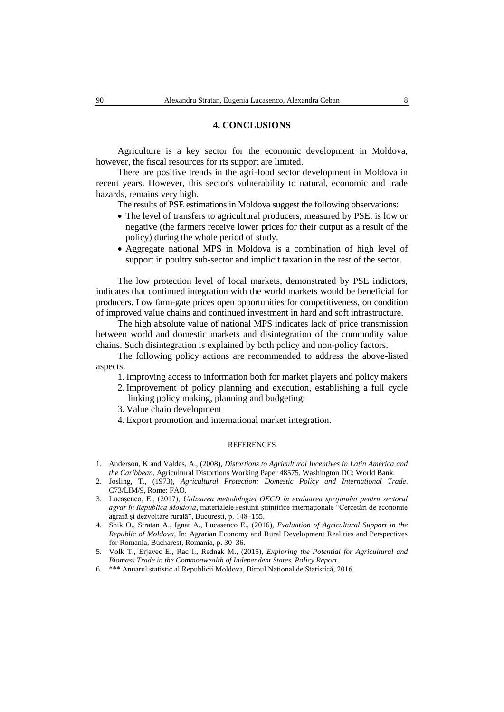### **4. CONCLUSIONS**

Agriculture is a key sector for the economic development in Moldova, however, the fiscal resources for its support are limited.

There are positive trends in the agri-food sector development in Moldova in recent years. However, this sector's vulnerability to natural, economic and trade hazards, remains very high.

The results of PSE estimations in Moldova suggest the following observations:

- The level of transfers to agricultural producers, measured by PSE, is low or negative (the farmers receive lower prices for their output as a result of the policy) during the whole period of study.
- Aggregate national MPS in Moldova is a combination of high level of support in poultry sub-sector and implicit taxation in the rest of the sector.

The low protection level of local markets, demonstrated by PSE indictors, indicates that continued integration with the world markets would be beneficial for producers. Low farm-gate prices open opportunities for competitiveness, on condition of improved value chains and continued investment in hard and soft infrastructure.

The high absolute value of national MPS indicates lack of price transmission between world and domestic markets and disintegration of the commodity value chains. Such disintegration is explained by both policy and non-policy factors.

The following policy actions are recommended to address the above-listed aspects.

- 1. Improving access to information both for market players and policy makers
- 2. Improvement of policy planning and execution, establishing a full cycle linking policy making, planning and budgeting:
- 3. Value chain development
- 4. Export promotion and international market integration.

#### **REFERENCES**

- 1. Anderson, K and Valdes, A., (2008), *Distortions to Agricultural Incentives in Latin America and the Caribbean*, Agricultural Distortions Working Paper 48575, Washington DC: World Bank.
- 2. Josling, T., (1973), *Agricultural Protection: Domestic Policy and International Trade*. C73/LIM/9, Rome: FAO.
- 3. Lucașenco, E., (2017), *Utilizarea metodologiei OECD în evaluarea sprijinului pentru sectorul*  agrar în Republica Moldova, materialele sesiunii științifice internaționale "Cercetări de economie agrară şi dezvoltare rurală", Bucureşti, p. 148–155.
- 4. Shik O., Stratan A., Ignat A., Lucasenco E., (2016), *Evaluation of Agricultural Support in the Republic of Moldova*, In: Agrarian Economy and Rural Development Realities and Perspectives for Romania, Bucharest, Romania, p. 30–36.
- 5. Volk T., Erjavec E., Rac I., Rednak M., (2015), *Exploring the Potential for Agricultural and Biomass Trade in the Commonwealth of Independent States. Policy Report*.
- 6. \*\*\* Anuarul statistic al Republicii Moldova, Biroul Național de Statistică, 2016.